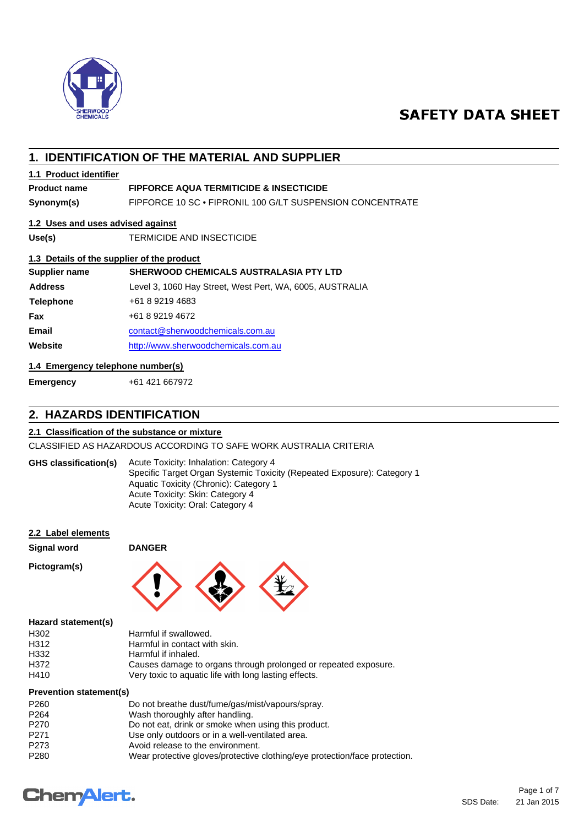

# **SAFETY DATA SHEET**

# **1. IDENTIFICATION OF THE MATERIAL AND SUPPLIER**

# **1.1 Product identifier**

# **Product name FIPFORCE AQUA TERMITICIDE & INSECTICIDE**

**Synonym(s)** FIPFORCE 10 SC • FIPRONIL 100 G/LT SUSPENSION CONCENTRATE

# **1.2 Uses and uses advised against**

**Use(s)** TERMICIDE AND INSECTICIDE

## **1.3 Details of the supplier of the product**

| Supplier name    | <b>SHERWOOD CHEMICALS AUSTRALASIA PTY LTD</b>            |  |
|------------------|----------------------------------------------------------|--|
| <b>Address</b>   | Level 3, 1060 Hay Street, West Pert, WA, 6005, AUSTRALIA |  |
| <b>Telephone</b> | +61 8 9219 4683                                          |  |
| Fax              | +61 8 9219 4672                                          |  |
| <b>Email</b>     | contact@sherwoodchemicals.com.au                         |  |
| Website          | http://www.sherwoodchemicals.com.au                      |  |

# **1.4 Emergency telephone number(s)**

**Emergency** +61 421 667972

# **2. HAZARDS IDENTIFICATION**

## **2.1 Classification of the substance or mixture**

CLASSIFIED AS HAZARDOUS ACCORDING TO SAFE WORK AUSTRALIA CRITERIA

| <b>GHS</b> classification(s) | Acute Toxicity: Inhalation: Category 4                                  |
|------------------------------|-------------------------------------------------------------------------|
|                              | Specific Target Organ Systemic Toxicity (Repeated Exposure): Category 1 |
|                              | Aquatic Toxicity (Chronic): Category 1                                  |
|                              | Acute Toxicity: Skin: Category 4                                        |
|                              | Acute Toxicity: Oral: Category 4                                        |

|  | 2.2 Label elements |
|--|--------------------|
|  |                    |

# **Signal word DANGER**

**Pictogram(s)**



#### **Hazard statement(s)**

| H302 | Harmful if swallowed.                                           |
|------|-----------------------------------------------------------------|
| H312 | Harmful in contact with skin.                                   |
| H332 | Harmful if inhaled.                                             |
| H372 | Causes damage to organs through prolonged or repeated exposure. |
| H410 | Very toxic to aquatic life with long lasting effects.           |
|      |                                                                 |

# **Prevention statement(s)**

| P <sub>260</sub> | Do not breathe dust/fume/gas/mist/vapours/spray.                           |
|------------------|----------------------------------------------------------------------------|
| P <sub>264</sub> | Wash thoroughly after handling.                                            |
| P <sub>270</sub> | Do not eat, drink or smoke when using this product.                        |
| P <sub>271</sub> | Use only outdoors or in a well-ventilated area.                            |
| P <sub>273</sub> | Avoid release to the environment.                                          |
| P <sub>280</sub> | Wear protective gloves/protective clothing/eye protection/face protection. |

# **Chemalert.**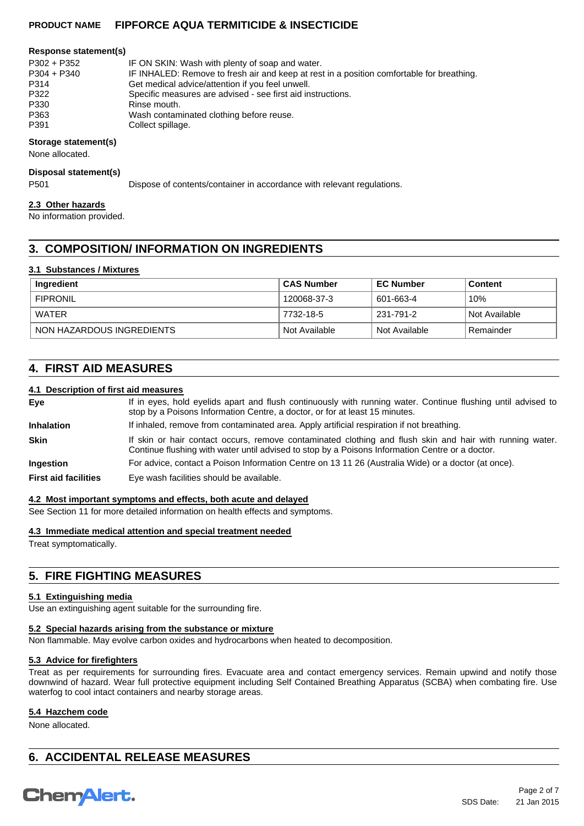#### **Response statement(s)**

| P302 + P352   | IF ON SKIN: Wash with plenty of soap and water.                                           |
|---------------|-------------------------------------------------------------------------------------------|
| $P304 + P340$ | IF INHALED: Remove to fresh air and keep at rest in a position comfortable for breathing. |
| P314          | Get medical advice/attention if you feel unwell.                                          |
| P322          | Specific measures are advised - see first aid instructions.                               |
| P330          | Rinse mouth.                                                                              |
| P363          | Wash contaminated clothing before reuse.                                                  |
| P391          | Collect spillage.                                                                         |

### **Storage statement(s)**

None allocated.

#### **Disposal statement(s)**

P501 Dispose of contents/container in accordance with relevant regulations.

#### **2.3 Other hazards**

No information provided.

# **3. COMPOSITION/ INFORMATION ON INGREDIENTS**

### **3.1 Substances / Mixtures**

| Ingredient                | ⊦CAS Number   | <b>EC Number</b> | Content         |
|---------------------------|---------------|------------------|-----------------|
| <b>FIPRONIL</b>           | 120068-37-3   | 601-663-4        | 10%             |
| WATER                     | 7732-18-5     | 231-791-2        | l Not Available |
| NON HAZARDOUS INGREDIENTS | Not Available | Not Available    | Remainder       |

# **4. FIRST AID MEASURES**

### **4.1 Description of first aid measures**

| Eye                         | If in eyes, hold eyelids apart and flush continuously with running water. Continue flushing until advised to<br>stop by a Poisons Information Centre, a doctor, or for at least 15 minutes.                 |
|-----------------------------|-------------------------------------------------------------------------------------------------------------------------------------------------------------------------------------------------------------|
| <b>Inhalation</b>           | If inhaled, remove from contaminated area. Apply artificial respiration if not breathing.                                                                                                                   |
| <b>Skin</b>                 | If skin or hair contact occurs, remove contaminated clothing and flush skin and hair with running water.<br>Continue flushing with water until advised to stop by a Poisons Information Centre or a doctor. |
| <b>Ingestion</b>            | For advice, contact a Poison Information Centre on 13 11 26 (Australia Wide) or a doctor (at once).                                                                                                         |
| <b>First aid facilities</b> | Eye wash facilities should be available.                                                                                                                                                                    |

#### **4.2 Most important symptoms and effects, both acute and delayed**

See Section 11 for more detailed information on health effects and symptoms.

### **4.3 Immediate medical attention and special treatment needed**

Treat symptomatically.

# **5. FIRE FIGHTING MEASURES**

### **5.1 Extinguishing media**

Use an extinguishing agent suitable for the surrounding fire.

### **5.2 Special hazards arising from the substance or mixture**

Non flammable. May evolve carbon oxides and hydrocarbons when heated to decomposition.

### **5.3 Advice for firefighters**

Treat as per requirements for surrounding fires. Evacuate area and contact emergency services. Remain upwind and notify those downwind of hazard. Wear full protective equipment including Self Contained Breathing Apparatus (SCBA) when combating fire. Use waterfog to cool intact containers and nearby storage areas.

#### **5.4 Hazchem code**

None allocated.

# **6. ACCIDENTAL RELEASE MEASURES**

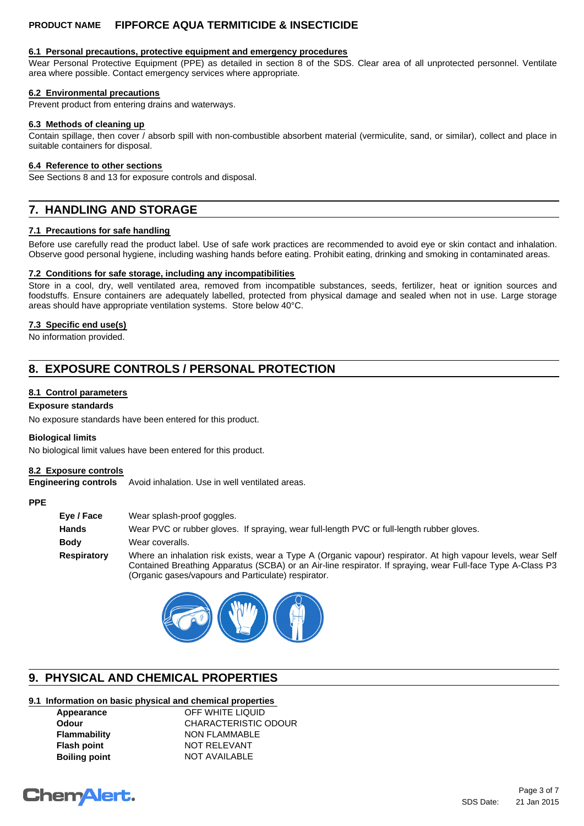# **6.1 Personal precautions, protective equipment and emergency procedures**

Wear Personal Protective Equipment (PPE) as detailed in section 8 of the SDS. Clear area of all unprotected personnel. Ventilate area where possible. Contact emergency services where appropriate.

# **6.2 Environmental precautions**

Prevent product from entering drains and waterways.

# **6.3 Methods of cleaning up**

Contain spillage, then cover / absorb spill with non-combustible absorbent material (vermiculite, sand, or similar), collect and place in suitable containers for disposal.

#### **6.4 Reference to other sections**

See Sections 8 and 13 for exposure controls and disposal.

# **7. HANDLING AND STORAGE**

### **7.1 Precautions for safe handling**

Before use carefully read the product label. Use of safe work practices are recommended to avoid eye or skin contact and inhalation. Observe good personal hygiene, including washing hands before eating. Prohibit eating, drinking and smoking in contaminated areas.

### **7.2 Conditions for safe storage, including any incompatibilities**

Store in a cool, dry, well ventilated area, removed from incompatible substances, seeds, fertilizer, heat or ignition sources and foodstuffs. Ensure containers are adequately labelled, protected from physical damage and sealed when not in use. Large storage areas should have appropriate ventilation systems. Store below 40°C.

### **7.3 Specific end use(s)**

No information provided.

# **8. EXPOSURE CONTROLS / PERSONAL PROTECTION**

### **8.1 Control parameters**

# **Exposure standards**

No exposure standards have been entered for this product.

#### **Biological limits**

No biological limit values have been entered for this product.

#### **8.2 Exposure controls**

**Engineering controls** Avoid inhalation. Use in well ventilated areas.

# **PPE**

| Eve / Face   | Wear splash-proof goggles.                                                                                                                                                                                                                                                         |
|--------------|------------------------------------------------------------------------------------------------------------------------------------------------------------------------------------------------------------------------------------------------------------------------------------|
| <b>Hands</b> | Wear PVC or rubber gloves. If spraying, wear full-length PVC or full-length rubber gloves.                                                                                                                                                                                         |
| Body         | Wear coveralls.                                                                                                                                                                                                                                                                    |
| Respiratory  | Where an inhalation risk exists, wear a Type A (Organic vapour) respirator. At high vapour levels, wear Self<br>Contained Breathing Apparatus (SCBA) or an Air-line respirator. If spraying, wear Full-face Type A-Class P3<br>(Organic gases/vapours and Particulate) respirator. |



# **9. PHYSICAL AND CHEMICAL PROPERTIES**

### **9.1 Information on basic physical and chemical properties**

| Appearance           | OFF WHITE LIQUID            |
|----------------------|-----------------------------|
| <b>Odour</b>         | <b>CHARACTERISTIC ODOUR</b> |
| <b>Flammability</b>  | <b>NON FLAMMABLE</b>        |
| <b>Flash point</b>   | <b>NOT RELEVANT</b>         |
| <b>Boiling point</b> | <b>NOT AVAILABLE</b>        |
|                      |                             |

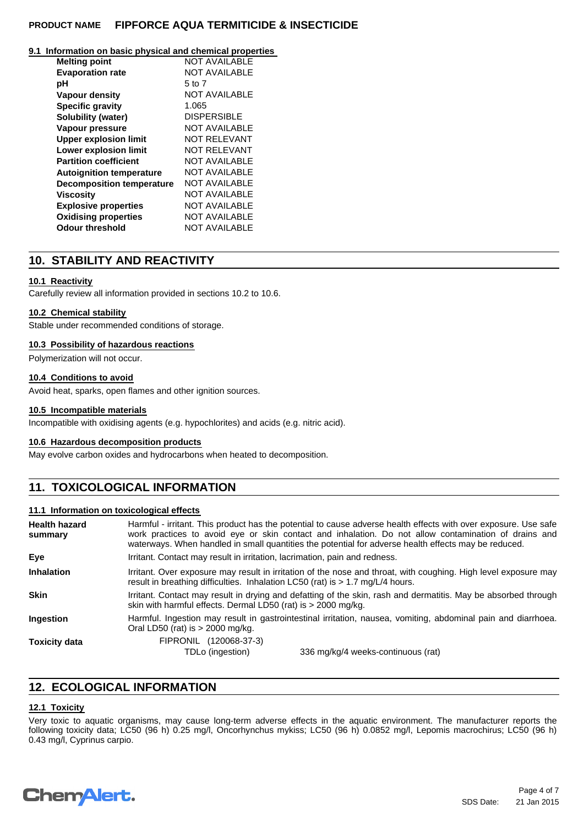#### **9.1 Information on basic physical and chemical properties**

| <b>Melting point</b>             | <b>NOT AVAILABLE</b> |
|----------------------------------|----------------------|
| <b>Evaporation rate</b>          | <b>NOT AVAILABLE</b> |
| рH                               | 5 to 7               |
| <b>Vapour density</b>            | <b>NOT AVAILABLE</b> |
| <b>Specific gravity</b>          | 1.065                |
| Solubility (water)               | <b>DISPERSIBLE</b>   |
| Vapour pressure                  | <b>NOT AVAILABLE</b> |
| <b>Upper explosion limit</b>     | NOT RELEVANT         |
| <b>Lower explosion limit</b>     | NOT RELEVANT         |
| <b>Partition coefficient</b>     | <b>NOT AVAILABLE</b> |
| <b>Autoignition temperature</b>  | NOT AVAILABLE        |
| <b>Decomposition temperature</b> | NOT AVAILABLE        |
| <b>Viscosity</b>                 | <b>NOT AVAILABLE</b> |
| <b>Explosive properties</b>      | <b>NOT AVAILABLE</b> |
| <b>Oxidising properties</b>      | <b>NOT AVAILABLE</b> |
| <b>Odour threshold</b>           | <b>NOT AVAILABLE</b> |

# **10. STABILITY AND REACTIVITY**

### **10.1 Reactivity**

Carefully review all information provided in sections 10.2 to 10.6.

#### **10.2 Chemical stability**

Stable under recommended conditions of storage.

#### **10.3 Possibility of hazardous reactions**

Polymerization will not occur.

### **10.4 Conditions to avoid**

Avoid heat, sparks, open flames and other ignition sources.

#### **10.5 Incompatible materials**

Incompatible with oxidising agents (e.g. hypochlorites) and acids (e.g. nitric acid).

#### **10.6 Hazardous decomposition products**

May evolve carbon oxides and hydrocarbons when heated to decomposition.

# **11. TOXICOLOGICAL INFORMATION**

#### **11.1 Information on toxicological effects**

| <b>Health hazard</b><br>summary | Harmful - irritant. This product has the potential to cause adverse health effects with over exposure. Use safe<br>work practices to avoid eye or skin contact and inhalation. Do not allow contamination of drains and<br>waterways. When handled in small quantities the potential for adverse health effects may be reduced. |  |
|---------------------------------|---------------------------------------------------------------------------------------------------------------------------------------------------------------------------------------------------------------------------------------------------------------------------------------------------------------------------------|--|
| Eye                             | Irritant. Contact may result in irritation, lacrimation, pain and redness.                                                                                                                                                                                                                                                      |  |
| <b>Inhalation</b>               | Irritant. Over exposure may result in irritation of the nose and throat, with coughing. High level exposure may<br>result in breathing difficulties. Inhalation LC50 (rat) is $> 1.7$ mg/L/4 hours.                                                                                                                             |  |
| <b>Skin</b>                     | Irritant. Contact may result in drying and defatting of the skin, rash and dermatitis. May be absorbed through<br>skin with harmful effects. Dermal LD50 (rat) is > 2000 mg/kg.                                                                                                                                                 |  |
| <b>Ingestion</b>                | Harmful. Ingestion may result in gastrointestinal irritation, nausea, vomiting, abdominal pain and diarrhoea.<br>Oral LD50 (rat) is $> 2000$ mg/kg.                                                                                                                                                                             |  |
| <b>Toxicity data</b>            | FIPRONIL (120068-37-3)<br>TDLo (ingestion)<br>336 mg/kg/4 weeks-continuous (rat)                                                                                                                                                                                                                                                |  |

# **12. ECOLOGICAL INFORMATION**

## **12.1 Toxicity**

Very toxic to aquatic organisms, may cause long-term adverse effects in the aquatic environment. The manufacturer reports the following toxicity data; LC50 (96 h) 0.25 mg/l, Oncorhynchus mykiss; LC50 (96 h) 0.0852 mg/l, Lepomis macrochirus; LC50 (96 h) 0.43 mg/l, Cyprinus carpio.

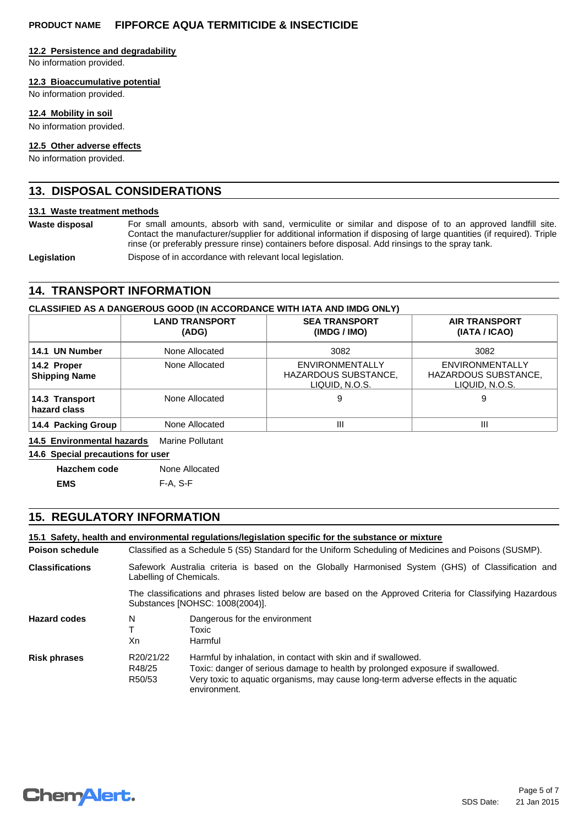### **12.2 Persistence and degradability**

No information provided.

### **12.3 Bioaccumulative potential**

No information provided.

### **12.4 Mobility in soil**

No information provided.

### **12.5 Other adverse effects**

No information provided.

# **13. DISPOSAL CONSIDERATIONS**

### **13.1 Waste treatment methods**

Waste disposal For small amounts, absorb with sand, vermiculite or similar and dispose of to an approved landfill site. Contact the manufacturer/supplier for additional information if disposing of large quantities (if required). Triple rinse (or preferably pressure rinse) containers before disposal. Add rinsings to the spray tank.

Legislation **Dispose of in accordance with relevant local legislation.** 

# **14. TRANSPORT INFORMATION**

### **CLASSIFIED AS A DANGEROUS GOOD (IN ACCORDANCE WITH IATA AND IMDG ONLY)**

|                                     | <b>LAND TRANSPORT</b><br>(ADG) | <b>SEA TRANSPORT</b><br>(IMDG / IMO)                      | <b>AIR TRANSPORT</b><br>(IATA / ICAO)                            |
|-------------------------------------|--------------------------------|-----------------------------------------------------------|------------------------------------------------------------------|
| 14.1 UN Number                      | None Allocated                 | 3082                                                      | 3082                                                             |
| 14.2 Proper<br><b>Shipping Name</b> | None Allocated                 | ENVIRONMENTALLY<br>HAZARDOUS SUBSTANCE,<br>LIQUID, N.O.S. | <b>ENVIRONMENTALLY</b><br>HAZARDOUS SUBSTANCE,<br>LIQUID, N.O.S. |
| 14.3 Transport<br>hazard class      | None Allocated                 | 9                                                         | 9                                                                |
| 14.4 Packing Group                  | None Allocated                 | Ш                                                         | Ш                                                                |

#### **14.5 Environmental hazards** Marine Pollutant

**14.6 Special precautions for user**

**Hazchem code** None Allocated **EMS** F-A, S-F

# **15. REGULATORY INFORMATION**

|                        |                                                                                                                                              | 15.1 Safety, health and environmental requlations/legislation specific for the substance or mixture                           |  |  |  |  |
|------------------------|----------------------------------------------------------------------------------------------------------------------------------------------|-------------------------------------------------------------------------------------------------------------------------------|--|--|--|--|
| Poison schedule        |                                                                                                                                              | Classified as a Schedule 5 (S5) Standard for the Uniform Scheduling of Medicines and Poisons (SUSMP).                         |  |  |  |  |
| <b>Classifications</b> |                                                                                                                                              | Safework Australia criteria is based on the Globally Harmonised System (GHS) of Classification and<br>Labelling of Chemicals. |  |  |  |  |
|                        | The classifications and phrases listed below are based on the Approved Criteria for Classifying Hazardous<br>Substances [NOHSC: 1008(2004)]. |                                                                                                                               |  |  |  |  |
| <b>Hazard codes</b>    | N                                                                                                                                            | Dangerous for the environment                                                                                                 |  |  |  |  |
|                        | т                                                                                                                                            | Toxic                                                                                                                         |  |  |  |  |
|                        | Xn                                                                                                                                           | Harmful                                                                                                                       |  |  |  |  |
| <b>Risk phrases</b>    | R20/21/22                                                                                                                                    | Harmful by inhalation, in contact with skin and if swallowed.                                                                 |  |  |  |  |
|                        | R48/25                                                                                                                                       | Toxic: danger of serious damage to health by prolonged exposure if swallowed.                                                 |  |  |  |  |
|                        | R <sub>50</sub> /53                                                                                                                          | Very toxic to aquatic organisms, may cause long-term adverse effects in the aquatic<br>environment.                           |  |  |  |  |

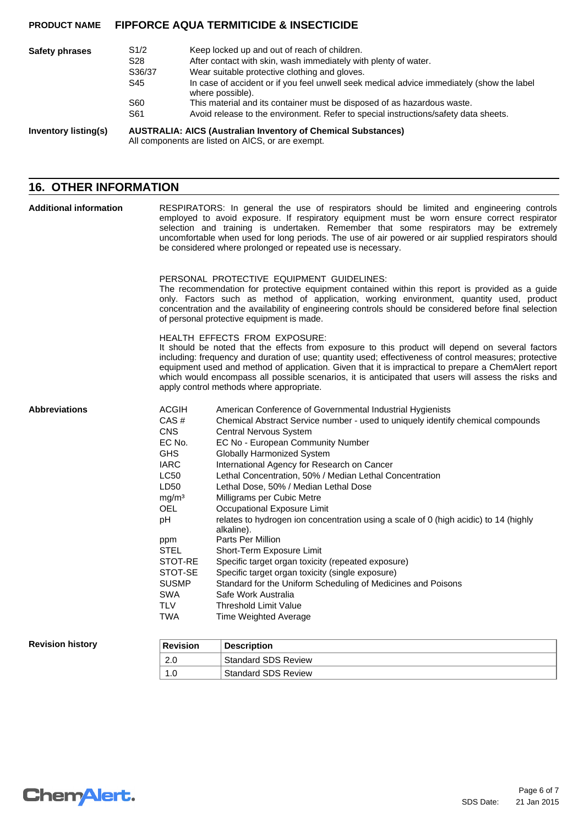| Safety phrases       | S1/2<br>S <sub>28</sub><br>S36/37<br>S45<br>S60<br>S61                                                                    | Keep locked up and out of reach of children.<br>After contact with skin, wash immediately with plenty of water.<br>Wear suitable protective clothing and gloves.<br>In case of accident or if you feel unwell seek medical advice immediately (show the label<br>where possible).<br>This material and its container must be disposed of as hazardous waste.<br>Avoid release to the environment. Refer to special instructions/safety data sheets. |
|----------------------|---------------------------------------------------------------------------------------------------------------------------|-----------------------------------------------------------------------------------------------------------------------------------------------------------------------------------------------------------------------------------------------------------------------------------------------------------------------------------------------------------------------------------------------------------------------------------------------------|
| Inventory listing(s) | <b>AUSTRALIA: AICS (Australian Inventory of Chemical Substances)</b><br>All components are listed on AICS, or are exempt. |                                                                                                                                                                                                                                                                                                                                                                                                                                                     |

# **16. OTHER INFORMATION**

| <b>Additional information</b>                                             | RESPIRATORS: In general the use of respirators should be limited and engineering controls<br>employed to avoid exposure. If respiratory equipment must be worn ensure correct respirator<br>selection and training is undertaken. Remember that some respirators may be extremely<br>uncomfortable when used for long periods. The use of air powered or air supplied respirators should<br>be considered where prolonged or repeated use is necessary. |                                                                                                                                                                                                                                                                                                                                                                                                                                                                                                                                                                                                                                                                                                                                                                                                                                                                                    |  |  |
|---------------------------------------------------------------------------|---------------------------------------------------------------------------------------------------------------------------------------------------------------------------------------------------------------------------------------------------------------------------------------------------------------------------------------------------------------------------------------------------------------------------------------------------------|------------------------------------------------------------------------------------------------------------------------------------------------------------------------------------------------------------------------------------------------------------------------------------------------------------------------------------------------------------------------------------------------------------------------------------------------------------------------------------------------------------------------------------------------------------------------------------------------------------------------------------------------------------------------------------------------------------------------------------------------------------------------------------------------------------------------------------------------------------------------------------|--|--|
|                                                                           | PERSONAL PROTECTIVE EQUIPMENT GUIDELINES:<br>The recommendation for protective equipment contained within this report is provided as a guide<br>only. Factors such as method of application, working environment, quantity used, product<br>concentration and the availability of engineering controls should be considered before final selection<br>of personal protective equipment is made.                                                         |                                                                                                                                                                                                                                                                                                                                                                                                                                                                                                                                                                                                                                                                                                                                                                                                                                                                                    |  |  |
| HEALTH EFFECTS FROM EXPOSURE:<br>apply control methods where appropriate. |                                                                                                                                                                                                                                                                                                                                                                                                                                                         | It should be noted that the effects from exposure to this product will depend on several factors<br>including: frequency and duration of use; quantity used; effectiveness of control measures; protective<br>equipment used and method of application. Given that it is impractical to prepare a ChemAlert report<br>which would encompass all possible scenarios, it is anticipated that users will assess the risks and                                                                                                                                                                                                                                                                                                                                                                                                                                                         |  |  |
| <b>Abbreviations</b>                                                      | <b>ACGIH</b><br>CAS#<br><b>CNS</b><br>EC No.<br><b>GHS</b><br><b>IARC</b><br><b>LC50</b><br>LD50<br>mg/m <sup>3</sup><br><b>OEL</b><br>рH<br>ppm<br><b>STEL</b><br>STOT-RE<br>STOT-SE<br><b>SUSMP</b><br><b>SWA</b><br><b>TLV</b><br><b>TWA</b>                                                                                                                                                                                                         | American Conference of Governmental Industrial Hygienists<br>Chemical Abstract Service number - used to uniquely identify chemical compounds<br>Central Nervous System<br>EC No - European Community Number<br><b>Globally Harmonized System</b><br>International Agency for Research on Cancer<br>Lethal Concentration, 50% / Median Lethal Concentration<br>Lethal Dose, 50% / Median Lethal Dose<br>Milligrams per Cubic Metre<br>Occupational Exposure Limit<br>relates to hydrogen ion concentration using a scale of 0 (high acidic) to 14 (highly<br>alkaline).<br>Parts Per Million<br>Short-Term Exposure Limit<br>Specific target organ toxicity (repeated exposure)<br>Specific target organ toxicity (single exposure)<br>Standard for the Uniform Scheduling of Medicines and Poisons<br>Safe Work Australia<br><b>Threshold Limit Value</b><br>Time Weighted Average |  |  |
| <b>Revision history</b>                                                   | <b>Revision</b>                                                                                                                                                                                                                                                                                                                                                                                                                                         | <b>Description</b>                                                                                                                                                                                                                                                                                                                                                                                                                                                                                                                                                                                                                                                                                                                                                                                                                                                                 |  |  |
|                                                                           | 2.0                                                                                                                                                                                                                                                                                                                                                                                                                                                     | <b>Standard SDS Review</b>                                                                                                                                                                                                                                                                                                                                                                                                                                                                                                                                                                                                                                                                                                                                                                                                                                                         |  |  |

1.0 | Standard SDS Review